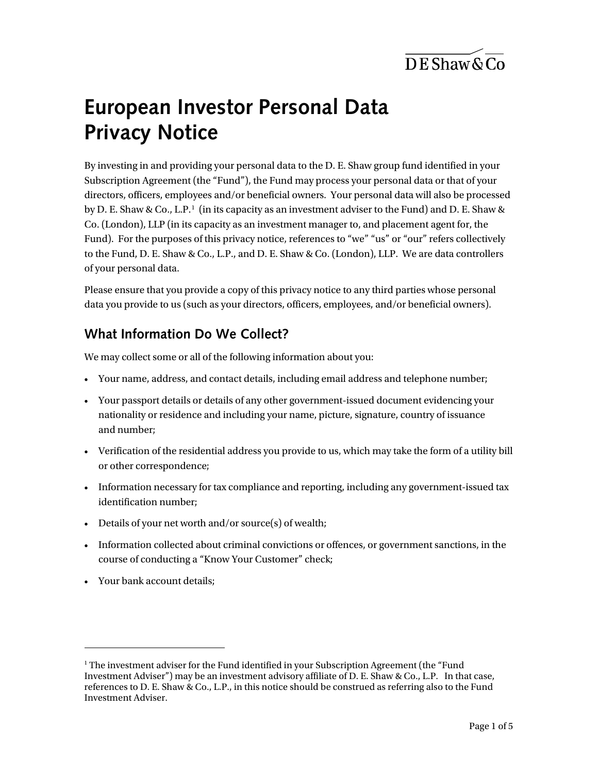$\overline{DE}$ Shaw & Co

# **European Investor Personal Data Privacy Notice**

By investing in and providing your personal data to the D. E. Shaw group fund identified in your Subscription Agreement (the "Fund"), the Fund may process your personal data or that of your directors, officers, employees and/or beneficial owners. Your personal data will also be processed by D. E. Shaw & Co., L.P.<sup>[1](#page-0-0)</sup> (in its capacity as an investment adviser to the Fund) and D. E. Shaw & Co. (London), LLP (in its capacity as an investment manager to, and placement agent for, the Fund). For the purposes of this privacy notice, references to "we" "us" or "our" refers collectively to the Fund, D. E. Shaw & Co., L.P., and D. E. Shaw & Co. (London), LLP. We are data controllers of your personal data.

Please ensure that you provide a copy of this privacy notice to any third parties whose personal data you provide to us (such as your directors, officers, employees, and/or beneficial owners).

#### **What Information Do We Collect?**

We may collect some or all of the following information about you:

- Your name, address, and contact details, including email address and telephone number;
- Your passport details or details of any other government-issued document evidencing your nationality or residence and including your name, picture, signature, country of issuance and number;
- Verification of the residential address you provide to us, which may take the form of a utility bill or other correspondence;
- Information necessary for tax compliance and reporting, including any government-issued tax identification number;
- Details of your net worth and/or source(s) of wealth;
- Information collected about criminal convictions or offences, or government sanctions, in the course of conducting a "Know Your Customer" check;
- Your bank account details;

 $\overline{a}$ 

<span id="page-0-0"></span><sup>&</sup>lt;sup>1</sup> The investment adviser for the Fund identified in your Subscription Agreement (the "Fund" Investment Adviser") may be an investment advisory affiliate of D. E. Shaw & Co., L.P. In that case, references to D. E. Shaw & Co., L.P., in this notice should be construed as referring also to the Fund Investment Adviser.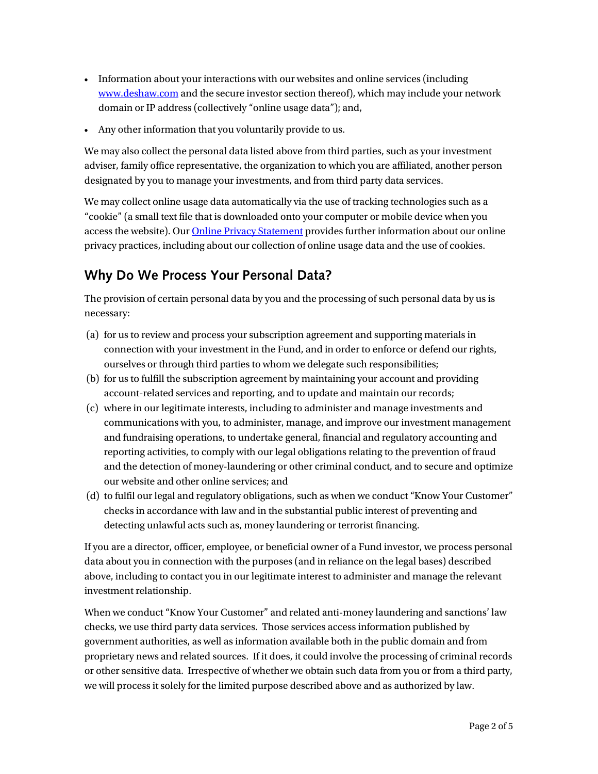- Information about your interactions with our websites and online services (including [www.deshaw.com](http://www.deshaw.com/) and the secure investor section thereof), which may include your network domain or IP address (collectively "online usage data"); and,
- Any other information that you voluntarily provide to us.

We may also collect the personal data listed above from third parties, such as your investment adviser, family office representative, the organization to which you are affiliated, another person designated by you to manage your investments, and from third party data services.

We may collect online usage data automatically via the use of tracking technologies such as a "cookie" (a small text file that is downloaded onto your computer or mobile device when you access the website). Our **Online Privacy Statement** provides further information about our online privacy practices, including about our collection of online usage data and the use of cookies.

# **Why Do We Process Your Personal Data?**

The provision of certain personal data by you and the processing of such personal data by us is necessary:

- (a) for us to review and process your subscription agreement and supporting materials in connection with your investment in the Fund, and in order to enforce or defend our rights, ourselves or through third parties to whom we delegate such responsibilities;
- (b) for us to fulfill the subscription agreement by maintaining your account and providing account-related services and reporting, and to update and maintain our records;
- (c) where in our legitimate interests, including to administer and manage investments and communications with you, to administer, manage, and improve our investment management and fundraising operations, to undertake general, financial and regulatory accounting and reporting activities, to comply with our legal obligations relating to the prevention of fraud and the detection of money-laundering or other criminal conduct, and to secure and optimize our website and other online services; and
- (d) to fulfil our legal and regulatory obligations, such as when we conduct "Know Your Customer" checks in accordance with law and in the substantial public interest of preventing and detecting unlawful acts such as, money laundering or terrorist financing.

If you are a director, officer, employee, or beneficial owner of a Fund investor, we process personal data about you in connection with the purposes (and in reliance on the legal bases) described above, including to contact you in our legitimate interest to administer and manage the relevant investment relationship.

When we conduct "Know Your Customer" and related anti-money laundering and sanctions' law checks, we use third party data services. Those services access information published by government authorities, as well as information available both in the public domain and from proprietary news and related sources. If it does, it could involve the processing of criminal records or other sensitive data. Irrespective of whether we obtain such data from you or from a third party, we will process it solely for the limited purpose described above and as authorized by law.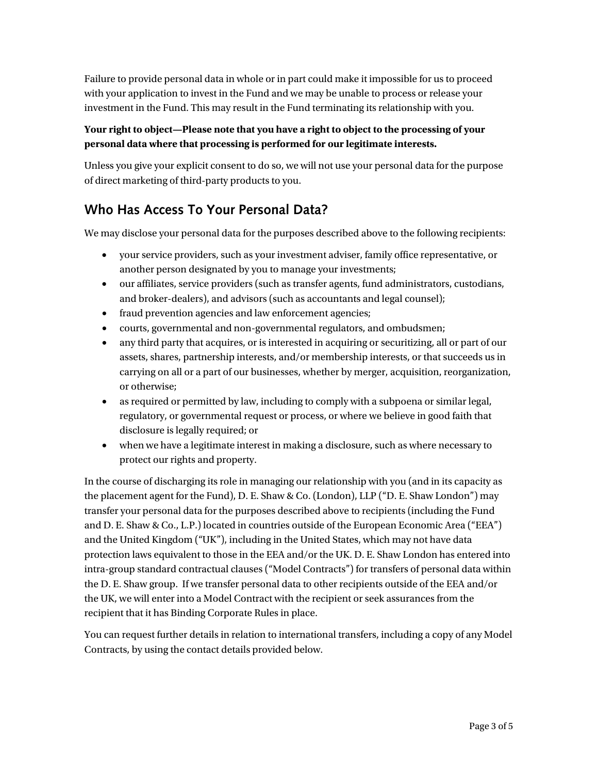Failure to provide personal data in whole or in part could make it impossible for us to proceed with your application to invest in the Fund and we may be unable to process or release your investment in the Fund. This may result in the Fund terminating its relationship with you.

#### **Your right to object—Please note that you have a right to object to the processing of your personal data where that processing is performed for our legitimate interests.**

Unless you give your explicit consent to do so, we will not use your personal data for the purpose of direct marketing of third-party products to you.

#### **Who Has Access To Your Personal Data?**

We may disclose your personal data for the purposes described above to the following recipients:

- your service providers, such as your investment adviser, family office representative, or another person designated by you to manage your investments;
- our affiliates, service providers (such as transfer agents, fund administrators, custodians, and broker-dealers), and advisors (such as accountants and legal counsel);
- fraud prevention agencies and law enforcement agencies;
- courts, governmental and non-governmental regulators, and ombudsmen;
- any third party that acquires, or is interested in acquiring or securitizing, all or part of our assets, shares, partnership interests, and/or membership interests, or that succeeds us in carrying on all or a part of our businesses, whether by merger, acquisition, reorganization, or otherwise;
- as required or permitted by law, including to comply with a subpoena or similar legal, regulatory, or governmental request or process, or where we believe in good faith that disclosure is legally required; or
- when we have a legitimate interest in making a disclosure, such as where necessary to protect our rights and property.

In the course of discharging its role in managing our relationship with you (and in its capacity as the placement agent for the Fund), D. E. Shaw & Co. (London), LLP ("D. E. Shaw London") may transfer your personal data for the purposes described above to recipients (including the Fund and D. E. Shaw & Co., L.P.) located in countries outside of the European Economic Area ("EEA") and the United Kingdom ("UK"), including in the United States, which may not have data protection laws equivalent to those in the EEA and/or the UK. D. E. Shaw London has entered into intra-group standard contractual clauses ("Model Contracts") for transfers of personal data within the D. E. Shaw group. If we transfer personal data to other recipients outside of the EEA and/or the UK, we will enter into a Model Contract with the recipient or seek assurances from the recipient that it has Binding Corporate Rules in place.

You can request further details in relation to international transfers, including a copy of any Model Contracts, by using the contact details provided below.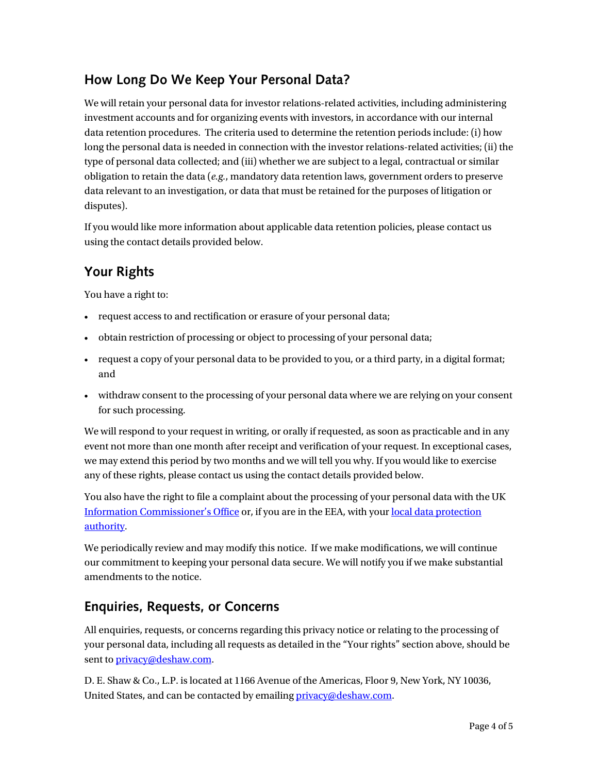# **How Long Do We Keep Your Personal Data?**

We will retain your personal data for investor relations-related activities, including administering investment accounts and for organizing events with investors, in accordance with our internal data retention procedures. The criteria used to determine the retention periods include: (i) how long the personal data is needed in connection with the investor relations-related activities; (ii) the type of personal data collected; and (iii) whether we are subject to a legal, contractual or similar obligation to retain the data (*e.g.*, mandatory data retention laws, government orders to preserve data relevant to an investigation, or data that must be retained for the purposes of litigation or disputes).

If you would like more information about applicable data retention policies, please contact us using the contact details provided below.

## **Your Rights**

You have a right to:

- request access to and rectification or erasure of your personal data;
- obtain restriction of processing or object to processing of your personal data;
- request a copy of your personal data to be provided to you, or a third party, in a digital format; and
- withdraw consent to the processing of your personal data where we are relying on your consent for such processing.

We will respond to your request in writing, or orally if requested, as soon as practicable and in any event not more than one month after receipt and verification of your request. In exceptional cases, we may extend this period by two months and we will tell you why. If you would like to exercise any of these rights, please contact us using the contact details provided below.

You also have the right to file a complaint about the processing of your personal data with the UK [Information Commissioner's Office](https://ico.org.uk/make-a-complaint/your-personal-information-concerns/) or, if you are in the EEA, with your [local data protection](https://edpb.europa.eu/about-edpb/board/members_en)  [authority.](https://edpb.europa.eu/about-edpb/board/members_en)

We periodically review and may modify this notice. If we make modifications, we will continue our commitment to keeping your personal data secure. We will notify you if we make substantial amendments to the notice.

### **Enquiries, Requests, or Concerns**

All enquiries, requests, or concerns regarding this privacy notice or relating to the processing of your personal data, including all requests as detailed in the "Your rights" section above, should be sent to *privacy*@deshaw.com.

D. E. Shaw & Co., L.P. is located at 1166 Avenue of the Americas, Floor 9, New York, NY 10036, United States, and can be contacted by emailin[g privacy@deshaw.com.](mailto:privacy@deshaw.com)